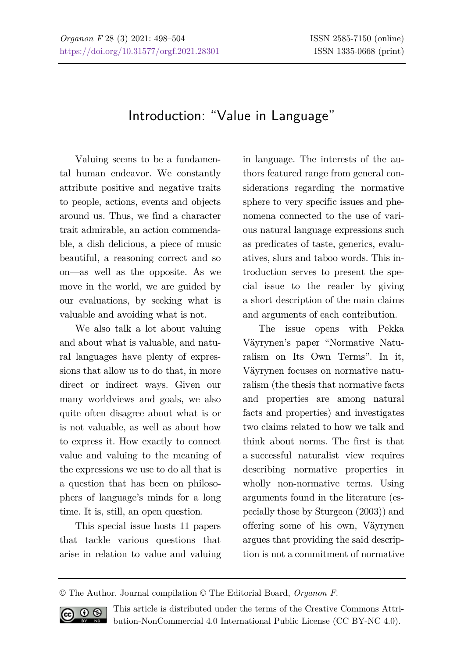## Introduction: "Value in Language"

Valuing seems to be a fundamental human endeavor. We constantly attribute positive and negative traits to people, actions, events and objects around us. Thus, we find a character trait admirable, an action commendable, a dish delicious, a piece of music beautiful, a reasoning correct and so on—as well as the opposite. As we move in the world, we are guided by our evaluations, by seeking what is valuable and avoiding what is not.

We also talk a lot about valuing and about what is valuable, and natural languages have plenty of expressions that allow us to do that, in more direct or indirect ways. Given our many worldviews and goals, we also quite often disagree about what is or is not valuable, as well as about how to express it. How exactly to connect value and valuing to the meaning of the expressions we use to do all that is a question that has been on philosophers of language's minds for a long time. It is, still, an open question.

This special issue hosts 11 papers that tackle various questions that arise in relation to value and valuing in language. The interests of the authors featured range from general considerations regarding the normative sphere to very specific issues and phenomena connected to the use of various natural language expressions such as predicates of taste, generics, evaluatives, slurs and taboo words. This introduction serves to present the special issue to the reader by giving a short description of the main claims and arguments of each contribution.

The issue opens with Pekka Väyrynen's paper "Normative Naturalism on Its Own Terms". In it, Väyrynen focuses on normative naturalism (the thesis that normative facts and properties are among natural facts and properties) and investigates two claims related to how we talk and think about norms. The first is that a successful naturalist view requires describing normative properties in wholly non-normative terms. Using arguments found in the literature (especially those by Sturgeon (2003)) and offering some of his own, Väyrynen argues that providing the said description is not a commitment of normative

<sup>©</sup> The Author. Journal compilation © The Editorial Board, *Organon F*.



This article is distributed under the terms of the Creative Commons Attribution-NonCommercial 4.0 International Public License (CC BY-NC 4.0).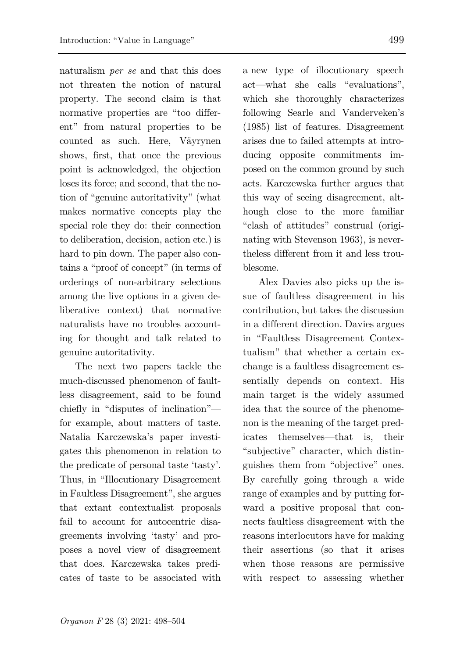naturalism *per se* and that this does not threaten the notion of natural property. The second claim is that normative properties are "too different" from natural properties to be counted as such. Here, Väyrynen shows, first, that once the previous point is acknowledged, the objection loses its force; and second, that the notion of "genuine autoritativity" (what makes normative concepts play the special role they do: their connection to deliberation, decision, action etc.) is hard to pin down. The paper also contains a "proof of concept" (in terms of orderings of non-arbitrary selections among the live options in a given deliberative context) that normative naturalists have no troubles accounting for thought and talk related to genuine autoritativity.

The next two papers tackle the much-discussed phenomenon of faultless disagreement, said to be found chiefly in "disputes of inclination" for example, about matters of taste. Natalia Karczewska's paper investigates this phenomenon in relation to the predicate of personal taste 'tasty'. Thus, in "Illocutionary Disagreement in Faultless Disagreement", she argues that extant contextualist proposals fail to account for autocentric disagreements involving 'tasty' and proposes a novel view of disagreement that does. Karczewska takes predicates of taste to be associated with a new type of illocutionary speech act—what she calls "evaluations", which she thoroughly characterizes following Searle and Vanderveken's (1985) list of features. Disagreement arises due to failed attempts at introducing opposite commitments imposed on the common ground by such acts. Karczewska further argues that this way of seeing disagreement, although close to the more familiar "clash of attitudes" construal (originating with Stevenson 1963), is nevertheless different from it and less troublesome.

Alex Davies also picks up the issue of faultless disagreement in his contribution, but takes the discussion in a different direction. Davies argues in "Faultless Disagreement Contextualism" that whether a certain exchange is a faultless disagreement essentially depends on context. His main target is the widely assumed idea that the source of the phenomenon is the meaning of the target predicates themselves—that is, their "subjective" character, which distinguishes them from "objective" ones. By carefully going through a wide range of examples and by putting forward a positive proposal that connects faultless disagreement with the reasons interlocutors have for making their assertions (so that it arises when those reasons are permissive with respect to assessing whether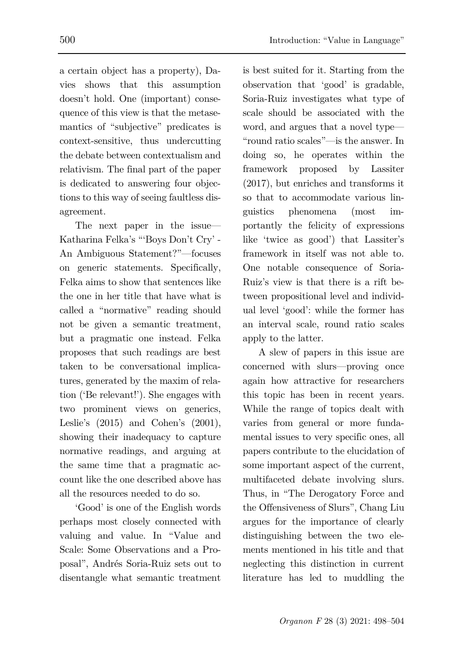a certain object has a property), Davies shows that this assumption doesn't hold. One (important) consequence of this view is that the metasemantics of "subjective" predicates is context-sensitive, thus undercutting the debate between contextualism and relativism. The final part of the paper is dedicated to answering four objections to this way of seeing faultless disagreement.

The next paper in the issue— Katharina Felka's "'Boys Don't Cry' - An Ambiguous Statement?"—focuses on generic statements. Specifically, Felka aims to show that sentences like the one in her title that have what is called a "normative" reading should not be given a semantic treatment, but a pragmatic one instead. Felka proposes that such readings are best taken to be conversational implicatures, generated by the maxim of relation ('Be relevant!'). She engages with two prominent views on generics, Leslie's (2015) and Cohen's (2001), showing their inadequacy to capture normative readings, and arguing at the same time that a pragmatic account like the one described above has all the resources needed to do so.

'Good' is one of the English words perhaps most closely connected with valuing and value. In "Value and Scale: Some Observations and a Proposal", Andrés Soria-Ruiz sets out to disentangle what semantic treatment

is best suited for it. Starting from the observation that 'good' is gradable, Soria-Ruiz investigates what type of scale should be associated with the word, and argues that a novel type— "round ratio scales"—is the answer. In doing so, he operates within the framework proposed by Lassiter (2017), but enriches and transforms it so that to accommodate various linguistics phenomena (most importantly the felicity of expressions like 'twice as good') that Lassiter's framework in itself was not able to. One notable consequence of Soria-Ruiz's view is that there is a rift between propositional level and individual level 'good': while the former has an interval scale, round ratio scales apply to the latter.

A slew of papers in this issue are concerned with slurs—proving once again how attractive for researchers this topic has been in recent years. While the range of topics dealt with varies from general or more fundamental issues to very specific ones, all papers contribute to the elucidation of some important aspect of the current, multifaceted debate involving slurs. Thus, in "The Derogatory Force and the Offensiveness of Slurs", Chang Liu argues for the importance of clearly distinguishing between the two elements mentioned in his title and that neglecting this distinction in current literature has led to muddling the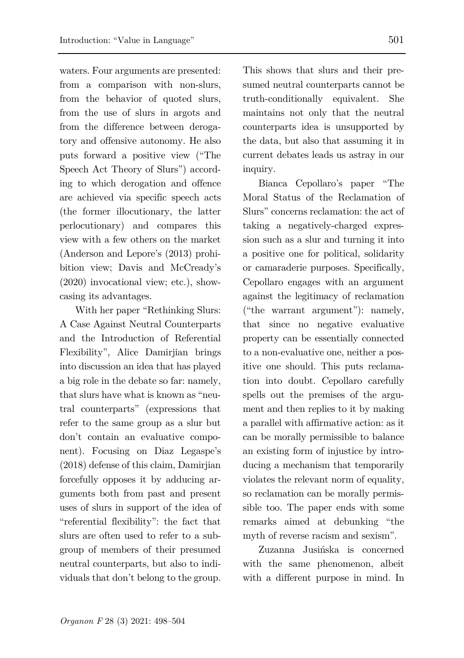waters. Four arguments are presented: from a comparison with non-slurs, from the behavior of quoted slurs, from the use of slurs in argots and from the difference between derogatory and offensive autonomy. He also puts forward a positive view ("The Speech Act Theory of Slurs") according to which derogation and offence are achieved via specific speech acts (the former illocutionary, the latter perlocutionary) and compares this view with a few others on the market (Anderson and Lepore's (2013) prohibition view; Davis and McCready's (2020) invocational view; etc.), showcasing its advantages.

With her paper "Rethinking Slurs: A Case Against Neutral Counterparts and the Introduction of Referential Flexibility", Alice Damirjian brings into discussion an idea that has played a big role in the debate so far: namely, that slurs have what is known as "neutral counterparts" (expressions that refer to the same group as a slur but don't contain an evaluative component). Focusing on Diaz Legaspe's (2018) defense of this claim, Damirjian forcefully opposes it by adducing arguments both from past and present uses of slurs in support of the idea of "referential flexibility": the fact that slurs are often used to refer to a subgroup of members of their presumed neutral counterparts, but also to individuals that don't belong to the group. This shows that slurs and their presumed neutral counterparts cannot be truth-conditionally equivalent. She maintains not only that the neutral counterparts idea is unsupported by the data, but also that assuming it in current debates leads us astray in our inquiry.

Bianca Cepollaro's paper "The Moral Status of the Reclamation of Slurs" concerns reclamation: the act of taking a negatively-charged expression such as a slur and turning it into a positive one for political, solidarity or camaraderie purposes. Specifically, Cepollaro engages with an argument against the legitimacy of reclamation ("the warrant argument"): namely, that since no negative evaluative property can be essentially connected to a non-evaluative one, neither a positive one should. This puts reclamation into doubt. Cepollaro carefully spells out the premises of the argument and then replies to it by making a parallel with affirmative action: as it can be morally permissible to balance an existing form of injustice by introducing a mechanism that temporarily violates the relevant norm of equality, so reclamation can be morally permissible too. The paper ends with some remarks aimed at debunking "the myth of reverse racism and sexism".

Zuzanna Jusińska is concerned with the same phenomenon, albeit with a different purpose in mind. In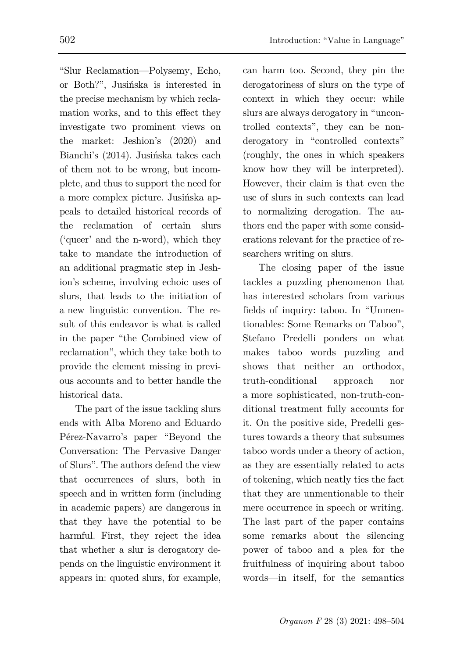"Slur Reclamation—Polysemy, Echo, or Both?", Jusińska is interested in the precise mechanism by which reclamation works, and to this effect they investigate two prominent views on the market: Jeshion's (2020) and Bianchi's (2014). Jusińska takes each of them not to be wrong, but incomplete, and thus to support the need for a more complex picture. Jusińska appeals to detailed historical records of the reclamation of certain slurs ('queer' and the n-word), which they take to mandate the introduction of an additional pragmatic step in Jeshion's scheme, involving echoic uses of slurs, that leads to the initiation of a new linguistic convention. The re-

sult of this endeavor is what is called in the paper "the Combined view of reclamation", which they take both to provide the element missing in previous accounts and to better handle the historical data.

The part of the issue tackling slurs ends with Alba Moreno and Eduardo Pérez-Navarro's paper "Beyond the Conversation: The Pervasive Danger of Slurs". The authors defend the view that occurrences of slurs, both in speech and in written form (including in academic papers) are dangerous in that they have the potential to be harmful. First, they reject the idea that whether a slur is derogatory depends on the linguistic environment it appears in: quoted slurs, for example,

can harm too. Second, they pin the derogatoriness of slurs on the type of context in which they occur: while slurs are always derogatory in "uncontrolled contexts", they can be nonderogatory in "controlled contexts" (roughly, the ones in which speakers know how they will be interpreted). However, their claim is that even the use of slurs in such contexts can lead to normalizing derogation. The authors end the paper with some considerations relevant for the practice of researchers writing on slurs.

The closing paper of the issue tackles a puzzling phenomenon that has interested scholars from various fields of inquiry: taboo. In "Unmentionables: Some Remarks on Taboo", Stefano Predelli ponders on what makes taboo words puzzling and shows that neither an orthodox truth-conditional approach nor a more sophisticated, non-truth-conditional treatment fully accounts for it. On the positive side, Predelli gestures towards a theory that subsumes taboo words under a theory of action, as they are essentially related to acts of tokening, which neatly ties the fact that they are unmentionable to their mere occurrence in speech or writing. The last part of the paper contains some remarks about the silencing power of taboo and a plea for the fruitfulness of inquiring about taboo words—in itself, for the semantics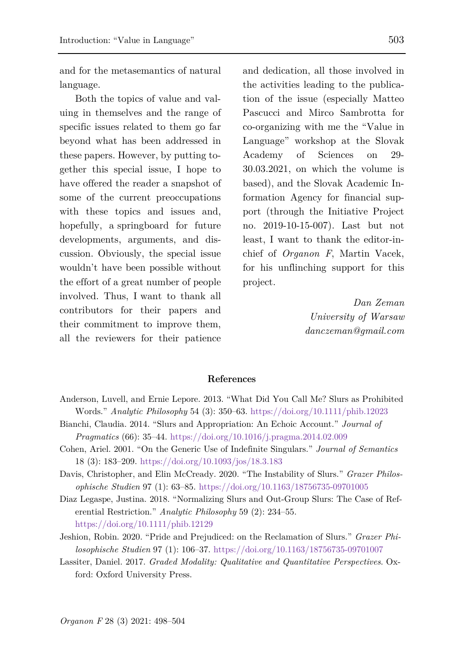and for the metasemantics of natural language.

Both the topics of value and valuing in themselves and the range of specific issues related to them go far beyond what has been addressed in these papers. However, by putting together this special issue, I hope to have offered the reader a snapshot of some of the current preoccupations with these topics and issues and, hopefully, a springboard for future developments, arguments, and discussion. Obviously, the special issue wouldn't have been possible without the effort of a great number of people involved. Thus, I want to thank all contributors for their papers and their commitment to improve them, all the reviewers for their patience and dedication, all those involved in the activities leading to the publication of the issue (especially Matteo Pascucci and Mirco Sambrotta for co-organizing with me the "Value in Language" workshop at the Slovak Academy of Sciences on 29- 30.03.2021, on which the volume is based), and the Slovak Academic Information Agency for financial support (through the Initiative Project no. 2019-10-15-007). Last but not least, I want to thank the editor-inchief of *Organon F*, Martin Vacek, for his unflinching support for this project.

> *Dan Zeman University of Warsaw danczeman@gmail.com*

## **References**

- Anderson, Luvell, and Ernie Lepore. 2013. "What Did You Call Me? Slurs as Prohibited Words." *Analytic Philosophy* 54 (3): 350–63.<https://doi.org/10.1111/phib.12023>
- Bianchi, Claudia. 2014. "Slurs and Appropriation: An Echoic Account." *Journal of Pragmatics* (66): 35–44.<https://doi.org/10.1016/j.pragma.2014.02.009>
- Cohen, Ariel. 2001. "On the Generic Use of Indefinite Singulars." *Journal of Semantics* 18 (3): 183–209[. https://doi.org/10.1093/jos/18.3.183](https://doi.org/10.1093/jos/18.3.183)
- Davis, Christopher, and Elin McCready. 2020. "The Instability of Slurs." *Grazer Philosophische Studien* 97 (1): 63–85.<https://doi.org/10.1163/18756735-09701005>
- Diaz Legaspe, Justina. 2018. "Normalizing Slurs and Out-Group Slurs: The Case of Referential Restriction." *Analytic Philosophy* 59 (2): 234–55. <https://doi.org/10.1111/phib.12129>
- Jeshion, Robin. 2020. "Pride and Prejudiced: on the Reclamation of Slurs." *Grazer Philosophische Studien* 97 (1): 106–37.<https://doi.org/10.1163/18756735-09701007>
- Lassiter, Daniel. 2017. *Graded Modality: Qualitative and Quantitative Perspectives*. Oxford: Oxford University Press.